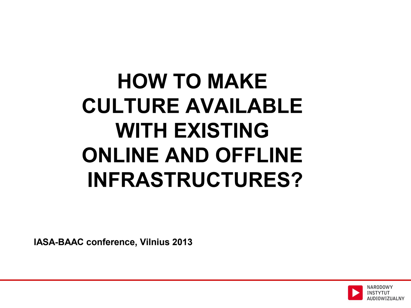# **HOW TO MAKE CULTURE AVAILABLE WITH EXISTING ONLINE AND OFFLINE INFRASTRUCTURES?**

**IASA-BAAC conference, Vilnius 2013**

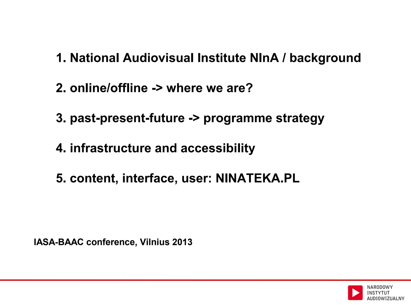- **1. National Audiovisual Institute NInA / background**
- **2. online/offline -> where we are?**
- **3. past-present-future -> programme strategy**
- **4. infrastructure and accessibility**
- **5. content, interface, user: NINATEKA.PL**

**IASA-BAAC conference, Vilnius 2013**

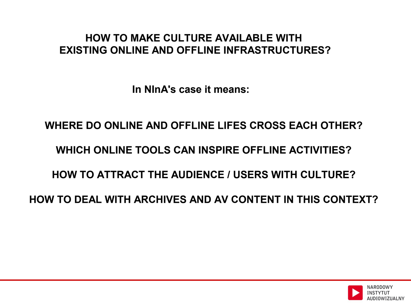## **HOW TO MAKE CULTURE AVAILABLE WITH EXISTING ONLINE AND OFFLINE INFRASTRUCTURES?**

**In NInA's case it means:**

**WHERE DO ONLINE AND OFFLINE LIFES CROSS EACH OTHER? WHICH ONLINE TOOLS CAN INSPIRE OFFLINE ACTIVITIES? HOW TO ATTRACT THE AUDIENCE / USERS WITH CULTURE? HOW TO DEAL WITH ARCHIVES AND AV CONTENT IN THIS CONTEXT?**

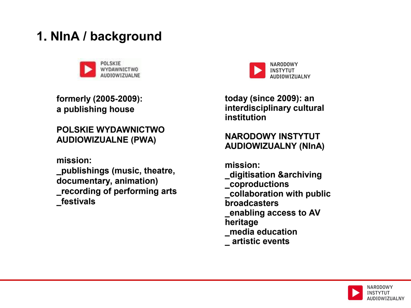# **1. NInA / background**



**formerly (2005-2009): a publishing house**

## **POLSKIE WYDAWNICTWO AUDIOWIZUALNE (PWA)**

**mission:**

**\_publishings (music, theatre, documentary, animation) \_recording of performing arts \_festivals**



**today (since 2009): an interdisciplinary cultural institution** 

## **NARODOWY INSTYTUT AUDIOWIZUALNY (NInA)**

**mission: \_digitisation &archiving \_coproductions \_collaboration with public broadcasters \_enabling access to AV heritage \_media education \_ artistic events**

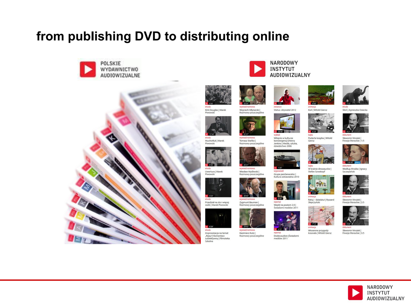## **from publishing DVD to distributing online**









etiud.

Piwowski

**BE36** 

Uwertura | Marek

etiuda

Piwowski

14:20:1

 $5.839$ 

etiuda

Muchotłuk | Marek

Wojciech Młynarski | Rozmowy poszczególne



Tomasz Stańko | Rozmowy poszczególne



wywiad/rozmowa Wiesław Myśliwski | Rozmowy poszczególne



Zygmunt Bauman | mowy poszczególne Ro



etiuda Improwizacja na temat Rejsu"| Komentarz<br>subiektywny | Filmoteka Szkolna

wywiad/rozmowa

Kazimierz Kutz | Rozmowy poszczególne



**1: 58'06"** wykła

wypowied.

reporta: Wejdź na poziom 2.0 |<br>Świadomi mediów 2011

Witajcie w kulturze

konwergencji |Henry

Jenkins | Media, sztuka,<br>dziedzictwo 2006

Grupa panGenerator |<br>Kultura odnawialna 2010

Status: obywatel 2012

**NARODOWY** 

AUDIOWIZUALNY

**INSTYTUT** 



baika

Giersz

baika

animacia

**EXEMI** 

Wiosenne przygody<br>krasnala | Witold Giersz

animacia

Koń | Witold Giersz

Podarta książka | Witold

**Part of the Second** 

W krainie dinozaurów |

Ratuj – dziadziu! | Ryszard<br>Słapczyński

Stefan Szwakopf



Słoń | Agnieszka Osiecka



dokument Sławomir Mrożek | Finezje literackie | 1/5



Według Mrożka | Ignacy<br>Szczepański



dokument Sławomir Mrożek |<br>Finezje literackie | 2/5



Sławomir Mrożek | Finezje literackie | 3/5



wywiad/rozmowa Przedział na sto i więcej osób | Marek Piwowsk







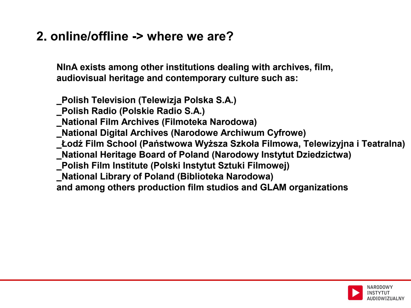## **2. online/offline -> where we are?**

**NInA exists among other institutions dealing with archives, film, audiovisual heritage and contemporary culture such as:**

**\_Polish Television (Telewizja Polska S.A.) \_Polish Radio (Polskie Radio S.A.) \_National Film Archives (Filmoteka Narodowa) \_National Digital Archives (Narodowe Archiwum Cyfrowe) \_Łodź Film School (Państwowa Wyższa Szkoła Filmowa, Telewizyjna i Teatralna) \_National Heritage Board of Poland (Narodowy Instytut Dziedzictwa) \_Polish Film Institute (Polski Instytut Sztuki Filmowej) \_National Library of Poland (Biblioteka Narodowa) and among others production film studios and GLAM organizations**

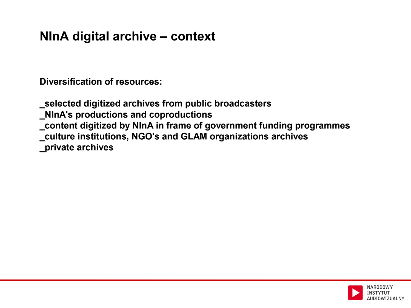# **NInA digital archive – context**

**Diversification of resources:**

**\_selected digitized archives from public broadcasters \_NInA's productions and coproductions \_content digitized by NInA in frame of government funding programmes \_culture institutions, NGO's and GLAM organizations archives \_private archives**

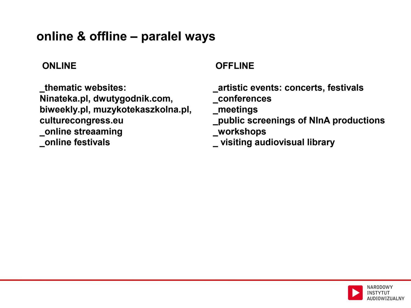## **online & offline – paralel ways**

## **ONLINE**

**\_thematic websites: Ninateka.pl, dwutygodnik.com, biweekly.pl, muzykotekaszkolna.pl, culturecongress.eu \_online streaaming \_online festivals**

## **OFFLINE**

 **\_artistic events: concerts, festivals**

 **\_conferences**

 **\_meetings**

 **\_public screenings of NInA productions \_workshops**

 **\_ visiting audiovisual library**

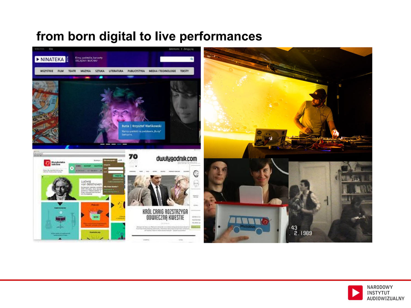# **from born digital to live performances**



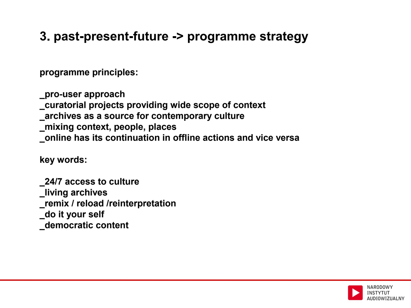## **3. past-present-future -> programme strategy**

**programme principles:**

**\_pro-user approach \_curatorial projects providing wide scope of context \_archives as a source for contemporary culture \_mixing context, people, places \_online has its continuation in offline actions and vice versa**

**key words:**

**\_24/7 access to culture \_living archives \_remix / reload /reinterpretation \_do it your self \_democratic content**

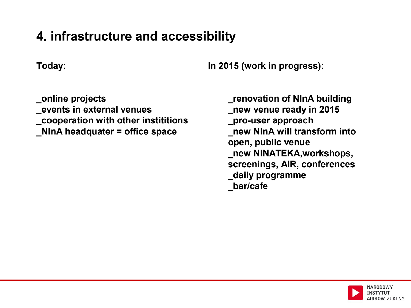## **4. infrastructure and accessibility**

**Today:**

**In 2015 (work in progress):**

**\_online projects \_events in external venues \_cooperation with other instititions \_NInA headquater = office space**

**\_renovation of NInA building \_new venue ready in 2015 \_pro-user approach \_new NInA will transform into open, public venue \_new NINATEKA,workshops, screenings, AIR, conferences \_daily programme \_bar/cafe**

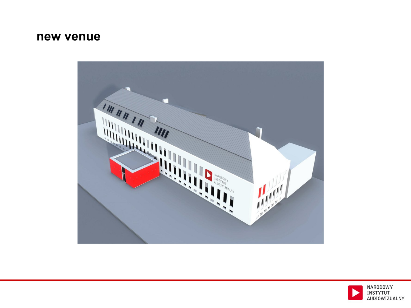## **new venue**



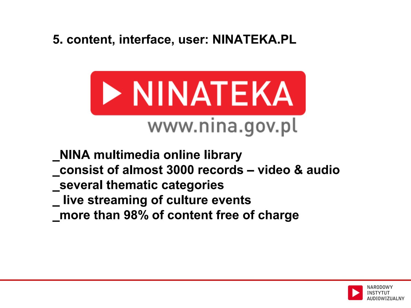## **5. content, interface, user: NINATEKA.PL**



- **\_NINA multimedia online library**
- **\_consist of almost 3000 records video & audio**
- **\_several thematic categories**
- **\_ live streaming of culture events**
- **\_more than 98% of content free of charge**

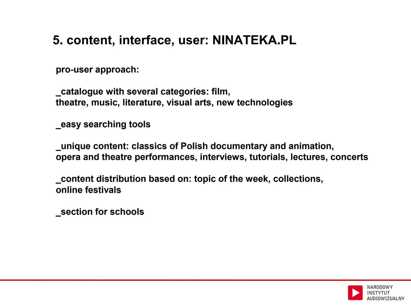# **5. content, interface, user: NINATEKA.PL**

**pro-user approach:**

**\_catalogue with several categories: film, theatre, music, literature, visual arts, new technologies**

**\_easy searching tools**

**\_unique content: classics of Polish documentary and animation, opera and theatre performances, interviews, tutorials, lectures, concerts**

**\_content distribution based on: topic of the week, collections, online festivals**

**\_section for schools**

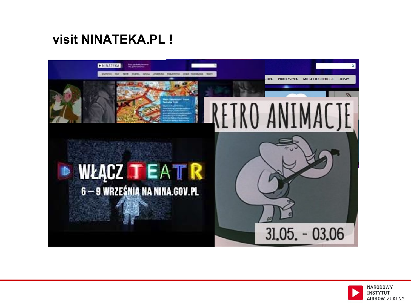# **visit NINATEKA.PL !**